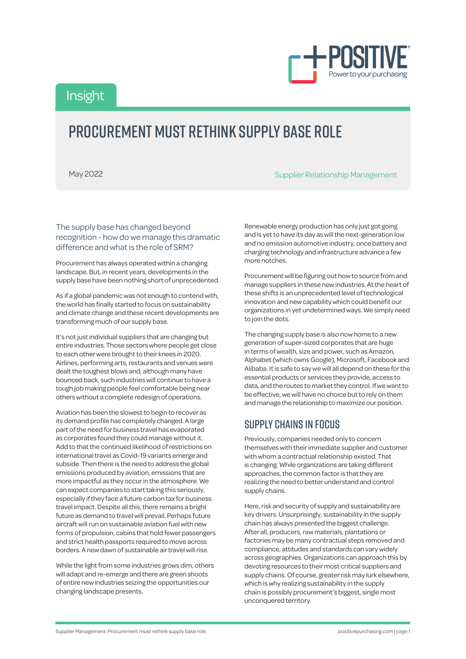

Insight

# PROCUREMENT MUST RETHINK SUPPLY BASE ROLE

May 2022 **Supplier Relationship Management** 

The supply base has changed beyond recognition - how do we manage this dramatic difference and what is the role of SRM?

Procurement has always operated within a changing landscape. But, in recent years, developments in the supply base have been nothing short of unprecedented.

As if a global pandemic was not enough to contend with, the world has finally started to focus on sustainability and climate change and these recent developments are transforming much of our supply base.

It's not just individual suppliers that are changing but entire industries. Those sectors where people get close to each other were brought to their knees in 2020. Airlines, performing arts, restaurants and venues were dealt the toughest blows and, although many have bounced back, such industries will continue to have a tough job making people feel comfortable being near others without a complete redesign of operations.

Aviation has been the slowest to begin to recover as its demand profile has completely changed. A large part of the need for business travel has evaporated as corporates found they could manage without it. Add to that the continued likelihood of restrictions on international travel as Covid-19 variants emerge and subside. Then there is the need to address the global emissions produced by aviation, emissions that are more impactful as they occur in the atmosphere. We can expect companies to start taking this seriously, especially if they face a future carbon tax for business travel impact. Despite all this, there remains a bright future as demand to travel will prevail. Perhaps future aircraft will run on sustainable aviation fuel with new forms of propulsion, cabins that hold fewer passengers and strict health passports required to move across borders. A new dawn of sustainable air travel will rise.

While the light from some industries grows dim, others will adapt and re-emerge and there are green shoots of entire new industries seizing the opportunities our changing landscape presents.

Renewable energy production has only just got going and is yet to have its day as will the next-generation low and no emission automotive industry, once battery and charging technology and infrastructure advance a few more notches.

Procurement will be figuring out how to source from and manage suppliers in these new industries. At the heart of these shifts is an unprecedented level of technological innovation and new capability which could benefit our organizations in yet undetermined ways. We simply need to join the dots.

The changing supply base is also now home to a new generation of super-sized corporates that are huge in terms of wealth, size and power, such as Amazon, Alphabet (which owns Google), Microsoft, Facebook and Alibaba. It is safe to say we will all depend on these for the essential products or services they provide, access to data, and the routes to market they control. If we want to be effective, we will have no choice but to rely on them and manage the relationship to maximize our position.

### Supply chains in focus

Previously, companies needed only to concern themselves with their immediate supplier and customer with whom a contractual relationship existed. That is changing. While organizations are taking different approaches, the common factor is that they are realizing the need to better understand and control supply chains.

Here, risk and security of supply and sustainability are key drivers. Unsurprisingly, sustainability in the supply chain has always presented the biggest challenge. After all, producers, raw materials, plantations or factories may be many contractual steps removed and compliance, attitudes and standards can vary widely across geographies. Organizations can approach this by devoting resources to their most critical suppliers and supply chains. Of course, greater risk may lurk elsewhere, which is why realizing sustainability in the supply chain is possibly procurement's biggest, single most unconquered territory.